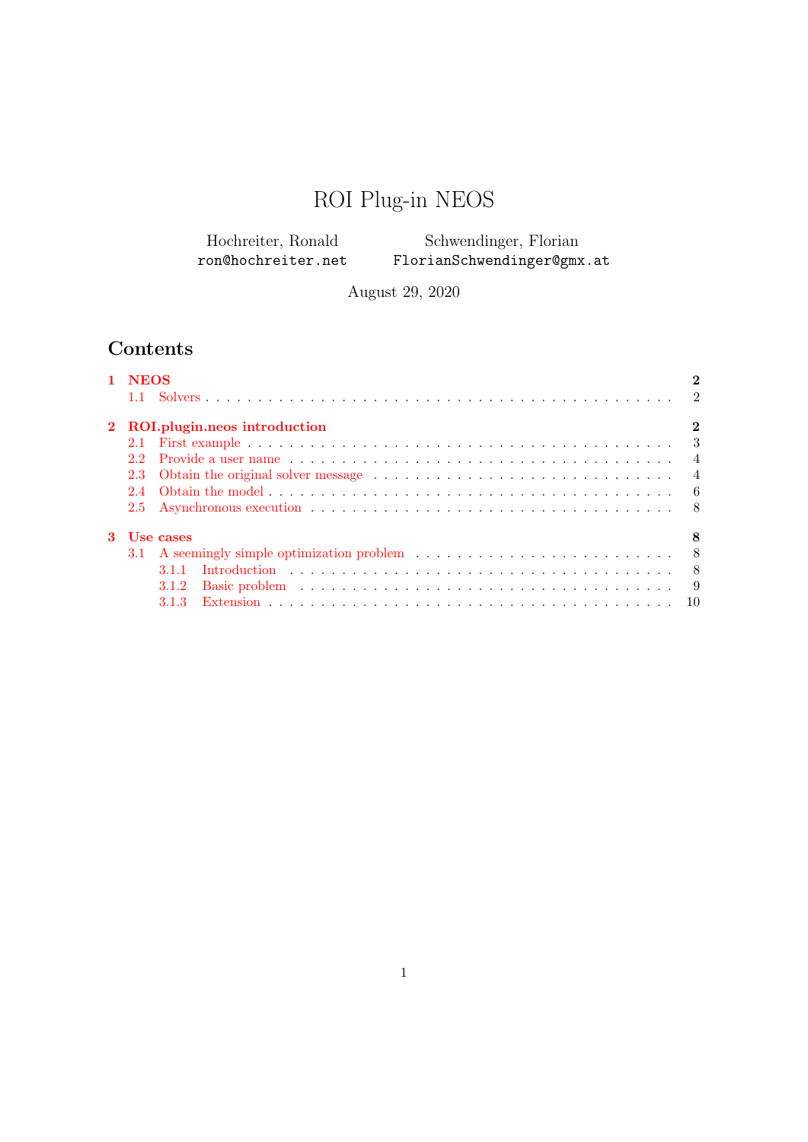# ROI Plug-in NEOS

| Hochreiter, Ronald | Schwendinger, Florian      |
|--------------------|----------------------------|
| ron@hochreiter.net | FlorianSchwendinger@gmx.at |

August 29, 2020

## Contents

| 1 NEOS |                                                                                                                  |          |
|--------|------------------------------------------------------------------------------------------------------------------|----------|
|        |                                                                                                                  |          |
|        | 2 ROI.plugin.neos introduction                                                                                   | $\bf{2}$ |
|        |                                                                                                                  |          |
| 2.2    | Provide a user name $\ldots \ldots \ldots \ldots \ldots \ldots \ldots \ldots \ldots \ldots \ldots \ldots \ldots$ |          |
| 2.3    |                                                                                                                  |          |
|        |                                                                                                                  |          |
|        |                                                                                                                  |          |
|        | 3 Use cases                                                                                                      | 8        |
|        | 3.1 A seemingly simple optimization problem $\ldots \ldots \ldots \ldots \ldots \ldots \ldots \ldots \ldots$ 8   |          |
|        |                                                                                                                  |          |
|        | 3.1.2                                                                                                            |          |
|        |                                                                                                                  |          |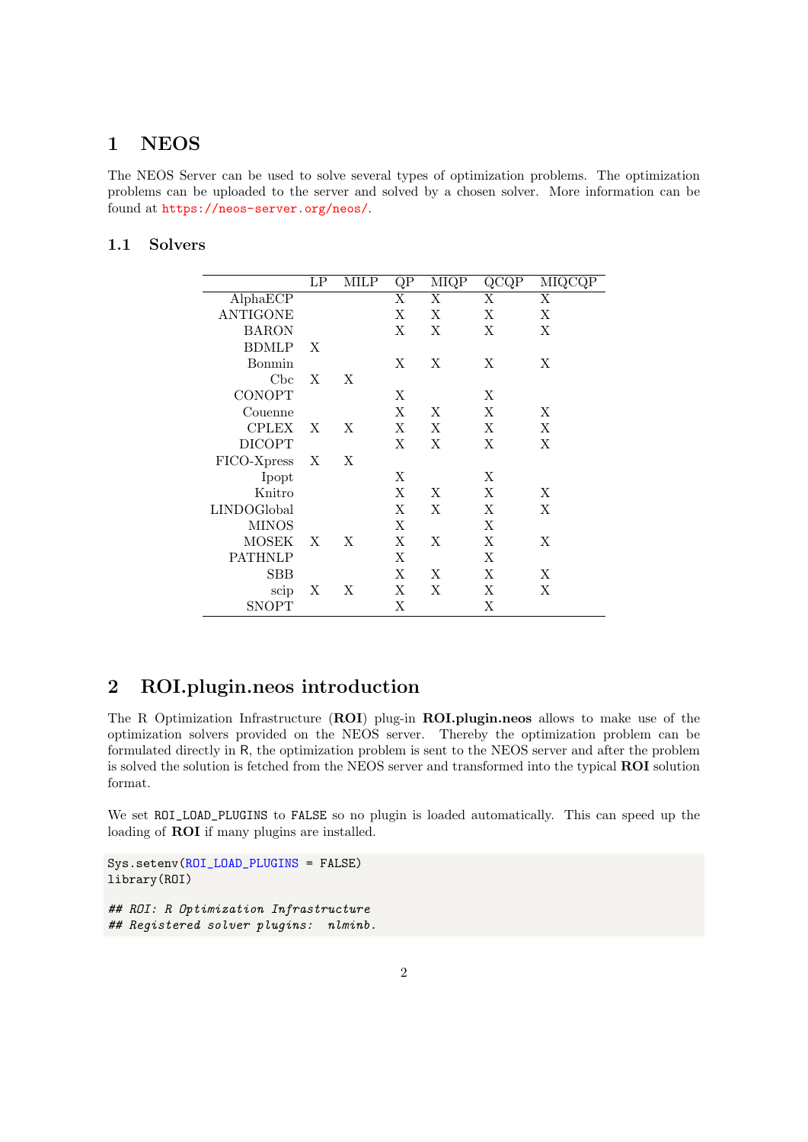#### <span id="page-1-0"></span> $\mathbf{1}$ **NEOS**

The NEOS Server can be used to solve several types of optimization problems. The optimization problems can be uploaded to the server and solved by a chosen solver. More information can be found at https://neos-server.org/neos/.

#### <span id="page-1-1"></span> $1.1$ **Solvers**

|                 | LP                        | MILP | QP | MIQP | $\rm QCQP$ | MIQCQP                  |
|-----------------|---------------------------|------|----|------|------------|-------------------------|
| AlphaECP        |                           |      | X  | X    | X          | $\overline{\mathrm{X}}$ |
| <b>ANTIGONE</b> |                           |      | X  | X    | X          | X                       |
| <b>BARON</b>    |                           |      | X  | X    | X          | X                       |
| <b>BDMLP</b>    | X                         |      |    |      |            |                         |
| Bonmin          |                           |      | X  | X    | X          | X                       |
| Cbc             | $\boldsymbol{\mathrm{X}}$ | Χ    |    |      |            |                         |
| <b>CONOPT</b>   |                           |      | X  |      | X          |                         |
| Couenne         |                           |      | Χ  | X    | X          | X                       |
| <b>CPLEX</b>    | X                         | Χ    | X  | X    | X          | X                       |
| <b>DICOPT</b>   |                           |      | X  | X    | X          | X                       |
| FICO-Xpress     | $\boldsymbol{\mathrm{X}}$ | Χ    |    |      |            |                         |
| Ipopt           |                           |      | X  |      | X          |                         |
| Knitro          |                           |      | Χ  | X    | X          | X                       |
| LINDOGlobal     |                           |      | X  | X    | X          | X                       |
| <b>MINOS</b>    |                           |      | X  |      | X          |                         |
| <b>MOSEK</b>    | X                         | X    | X  | X    | X          | X                       |
| PATHNLP         |                           |      | X  |      | X          |                         |
| <b>SBB</b>      |                           |      | X  | X    | X          | X                       |
| scip            | Χ                         | Χ    | X  | Χ    | X          | X                       |
| SNOPT           |                           |      | Χ  |      | X          |                         |

#### <span id="page-1-2"></span>ROI.plugin.neos introduction  $\overline{2}$

The R Optimization Infrastructure (ROI) plug-in ROI.plugin.neos allows to make use of the optimization solvers provided on the NEOS server. Thereby the optimization problem can be formulated directly in R, the optimization problem is sent to the NEOS server and after the problem is solved the solution is fetched from the NEOS server and transformed into the typical ROI solution format.

We set ROI\_LOAD\_PLUGINS to FALSE so no plugin is loaded automatically. This can speed up the loading of ROI if many plugins are installed.

```
Sys.setenv(ROI_LOAD_PLUGINS = FALSE)
library(ROI)
## ROI: R Optimization Infrastructure
```

```
## Registered solver plugins: nlminb.
```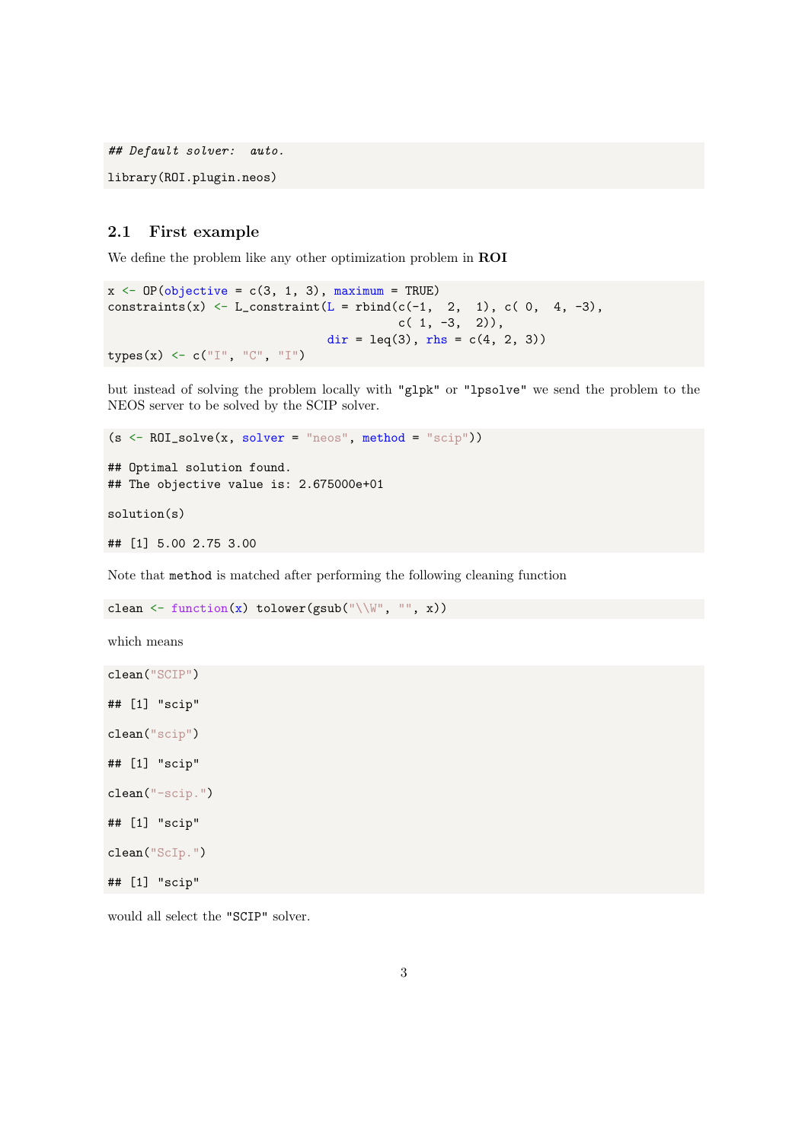## Default solver: auto.

library(ROI.plugin.neos)

### <span id="page-2-0"></span>2.1 First example

We define the problem like any other optimization problem in ROI

```
x \leftarrow OP(objective = c(3, 1, 3), maximum = TRUE)constraints(x) \leftarrow L_constraint(L = rbind(c(-1, 2, 1), c(0, 4, -3),
                                              c( 1, -3, 2),
                                   dir = leq(3), rhs = c(4, 2, 3))
types(x) \leftarrow c(\mathbb{T}", "C", "I")
```
but instead of solving the problem locally with "glpk" or "lpsolve" we send the problem to the NEOS server to be solved by the SCIP solver.

```
(s \leftarrow \text{ROI\_solve}(x, solver = "neos", method = "scip"))## Optimal solution found.
## The objective value is: 2.675000e+01
solution(s)
## [1] 5.00 2.75 3.00
```
Note that method is matched after performing the following cleaning function

```
clean \leftarrow function(x) tolower(gsub("\\W", "", x))
```
which means

```
clean("SCIP")
## [1] "scip"
clean("scip")
## [1] "scip"
clean("-scip.")
## [1] "scip"
clean("ScIp.")
## [1] "scip"
```
would all select the "SCIP" solver.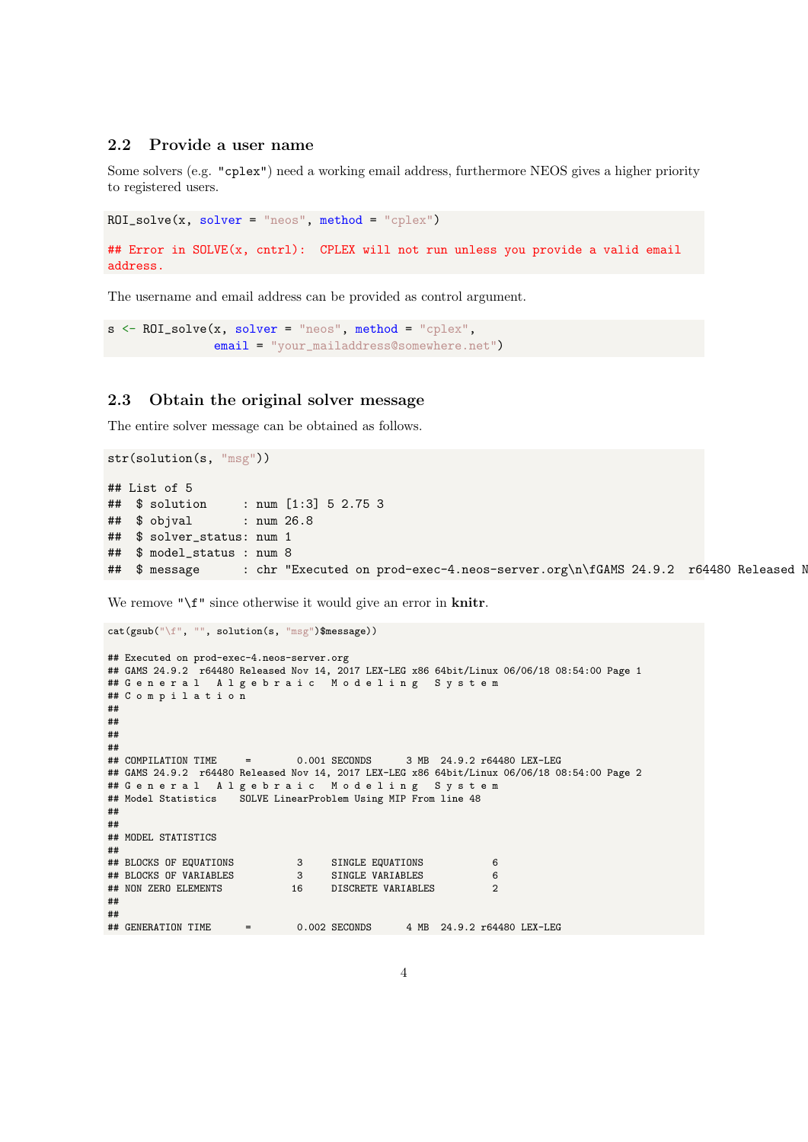#### <span id="page-3-0"></span>2.2 Provide a user name

Some solvers (e.g. "cplex") need a working email address, furthermore NEOS gives a higher priority to registered users.

```
ROL\_solve(x, solver = "neos", method = "cplex")## Error in SOLVE(x, cntrl): CPLEX will not run unless you provide a valid email
address.
```
The username and email address can be provided as control argument.

```
s <- ROI_solve(x, solver = "neos", method = "cplex",
               email = "your_mailaddress@somewhere.net")
```
#### <span id="page-3-1"></span>2.3 Obtain the original solver message

The entire solver message can be obtained as follows.

```
str(solution(s, "msg"))
## List of 5
## $ solution : num [1:3] 5 2.75 3
## $ objval : num 26.8
## $ solver_status: num 1
## $ model_status : num 8
## $ message : chr "Executed on prod-exec-4.neos-server.org\n\fGAMS 24.9.2 r64480 Released N
```
We remove "\f" since otherwise it would give an error in knitr.

```
cat(gsub("\f", "", solution(s, "msg")$message))
## Executed on prod-exec-4.neos-server.org
## GAMS 24.9.2 r64480 Released Nov 14, 2017 LEX-LEG x86 64bit/Linux 06/06/18 08:54:00 Page 1
## G e n e r a l A l g e b r a i c M o d e l i n g S y s t e m
## C o m p i l a t i o n
##
##
##
##
## COMPILATION TIME = 0.001 SECONDS 3 MB 24.9.2 r64480 LEX-LEG
## GAMS 24.9.2 r64480 Released Nov 14, 2017 LEX-LEG x86 64bit/Linux 06/06/18 08:54:00 Page 2
## G e n e r a l A l g e b r a i c M o d e l i n g S y s t e m
## Model Statistics SOLVE LinearProblem Using MIP From line 48
##
##
## MODEL STATISTICS
##
## BLOCKS OF EQUATIONS 3 SINGLE EQUATIONS 6
## BLOCKS OF VARIABLES 3 SINGLE VARIABLES 6
                           16 DISCRETE VARIABLES 2
##
##
## GENERATION TIME = 0.002 SECONDS 4 MB 24.9.2 r64480 LEX-LEG
```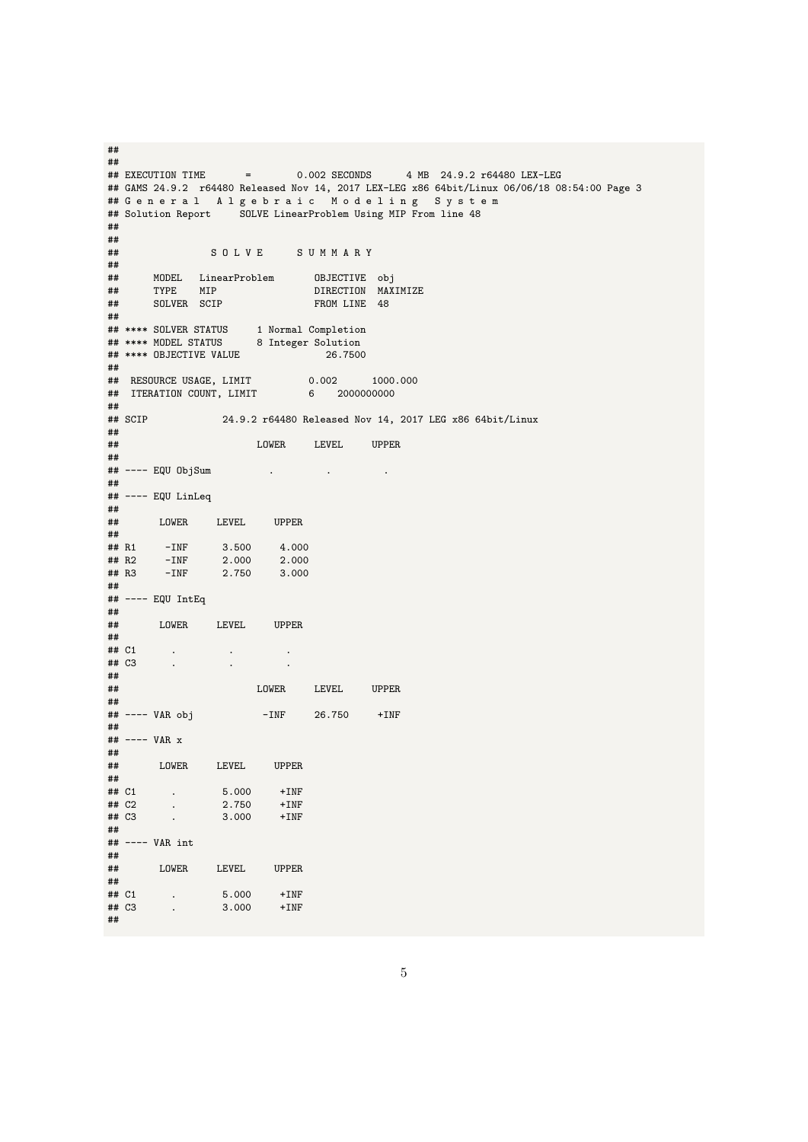## ## EXECUTION TIME = 0.002 SECONDS 4 MB 24.9.2 r64480 LEX-LEG ## GAMS 24.9.2 r64480 Released Nov 14, 2017 LEX-LEG x86 64bit/Linux 06/06/18 08:54:00 Page 3 ## G e n e r a l A l g e b r a i c M o d e l i n g S y s t e m ## Solution Report SOLVE LinearProblem Using MIP From line 48 ## ##<br>## S O L V E S U M M A R Y ##<br>## ## MODEL LinearProblem<br>## TYPE MIP ## TYPE MIP DIRECTION MAXIMIZE FROM LINE 48 ## ## \*\*\*\* SOLVER STATUS 1 Normal Completion ## \*\*\*\* MODEL STATUS 8 Integer Solution ## \*\*\*\* OBJECTIVE VALUE 26.7500 ##<br>## RESOURCE USAGE, LIMIT ## RESOURCE USAGE, LIMIT 0.002 1000.000 ## ITERATION COUNT, LIMIT 6 2000000000 ##<br>## SCIP 24.9.2 r64480 Released Nov 14, 2017 LEG x86 64bit/Linux ##<br>## LOWER LEVEL UPPER ##<br>## ---- EQU ObjSum ## ---- EQU ObjSum . . . ## ## ---- EQU LinLeq ## ## LOWER LEVEL UPPER ## ## R1 -INF 3.500 4.000 ## R2 -INF 2.000 2.000 ## R3 -INF 2.750 3.000 ## ## ---- EQU IntEq ##<br>## LOWER LEVEL UPPER ##<br>## C1 ## C1 . . . ## C3 . . . ## LOWER LEVEL UPPER ##<br>## ---- VAR obj  $-INF$  26.750  $+INF$ ##  $##$  ---- VAR  $x$ ##<br>## LOWER LEVEL UPPER ##<br>## C1  $\begin{array}{cccc} . & . & . & 5.000 & +INF \ . & . & . & . & 2.750 & +INF \ \end{array}$  $\begin{array}{ccc} \text{***} & \text{C1} & \text{...} \\ \text{***} & \text{C2} & \text{...} \\ \text{***} & \text{C3} & \text{...} \end{array}$ 3.000 +INF ## ## ---- VAR int ##<br>## LOWER LEVEL UPPER ## ## C1 . 5.000 +INF ## C3 . 3.000 +INF ##

##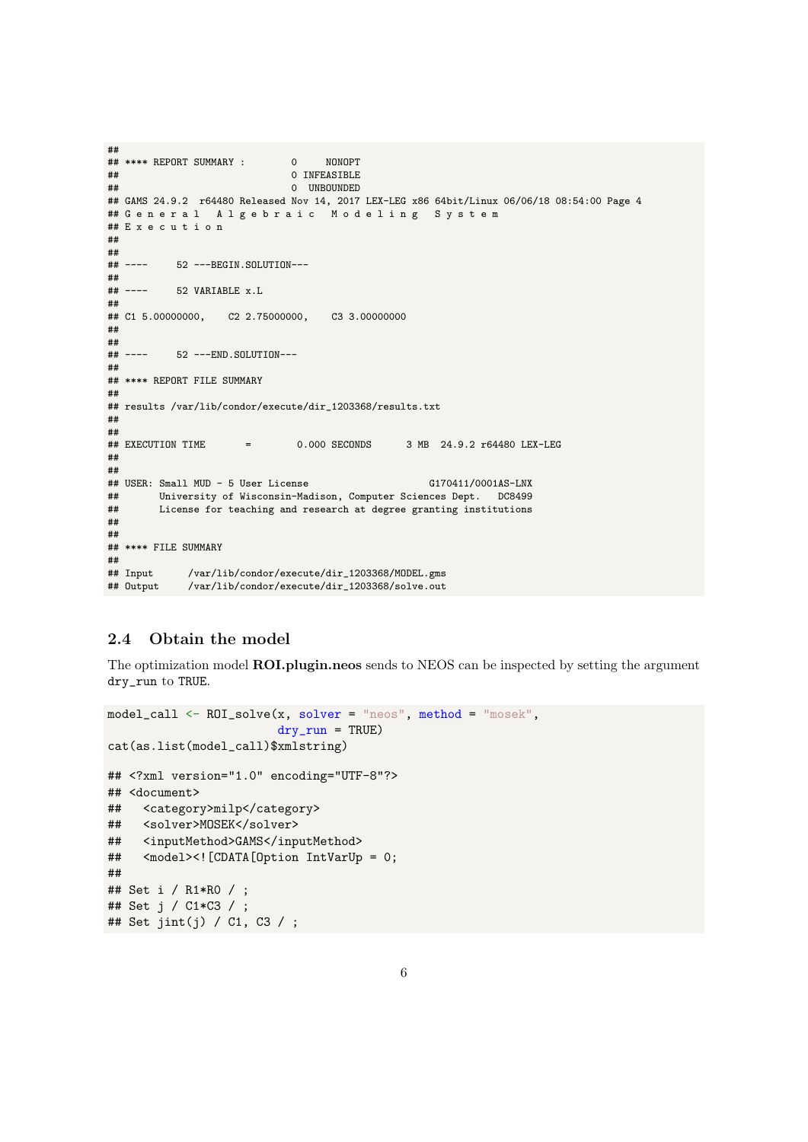```
##
## **** REPORT SUMMARY : 0 NONOPT
                             0 INFEASIBLE
## 0 UNBOUNDED
## GAMS 24.9.2 r64480 Released Nov 14, 2017 LEX-LEG x86 64bit/Linux 06/06/18 08:54:00 Page 4
## G e n e r a l A l g e b r a i c M o d e l i n g S y s t e m
## E x e c u t i o n
##
##<br>##  ----
          52 ---BEGIN.SOLUTION---
##<br>## ----
          52 VARIABLE x.L
##
## C1 5.00000000, C2 2.75000000, C3 3.00000000
##
##
## ---- 52 ---END.SOLUTION---
##
## **** REPORT FILE SUMMARY
##
## results /var/lib/condor/execute/dir_1203368/results.txt
##
##<br>## EXECUTION TIME
                     = 0.000 SECONDS 3 MB 24.9.2 r64480 LEX-LEG
##
##
## USER: Small MUD - 5 User License G170411/0001AS-LNX
## University of Wisconsin-Madison, Computer Sciences Dept. DC8499
        License for teaching and research at degree granting institutions
##
##
## **** FILE SUMMARY
##
## Input /var/lib/condor/execute/dir_1203368/MODEL.gms
            /var/lib/condor/execute/dir_1203368/solve.out
```
## <span id="page-5-0"></span>2.4 Obtain the model

The optimization model **ROI.plugin.neos** sends to NEOS can be inspected by setting the argument dry\_run to TRUE.

```
model\_call \leftarrow ROI\_solve(x, solver = "neos", method = "mosek",dry\_run = TRUEcat(as.list(model_call)$xmlstring)
## <?xml version="1.0" encoding="UTF-8"?>
## <document>
## <category>milp</category>
## <solver>MOSEK</solver>
## <inputMethod>GAMS</inputMethod>
## <model><![CDATA[Option IntVarUp = 0;
##
## Set i / R1*R0 / ;
## Set j / C1*C3 / ;
## Set jint(j) / C1, C3 / ;
```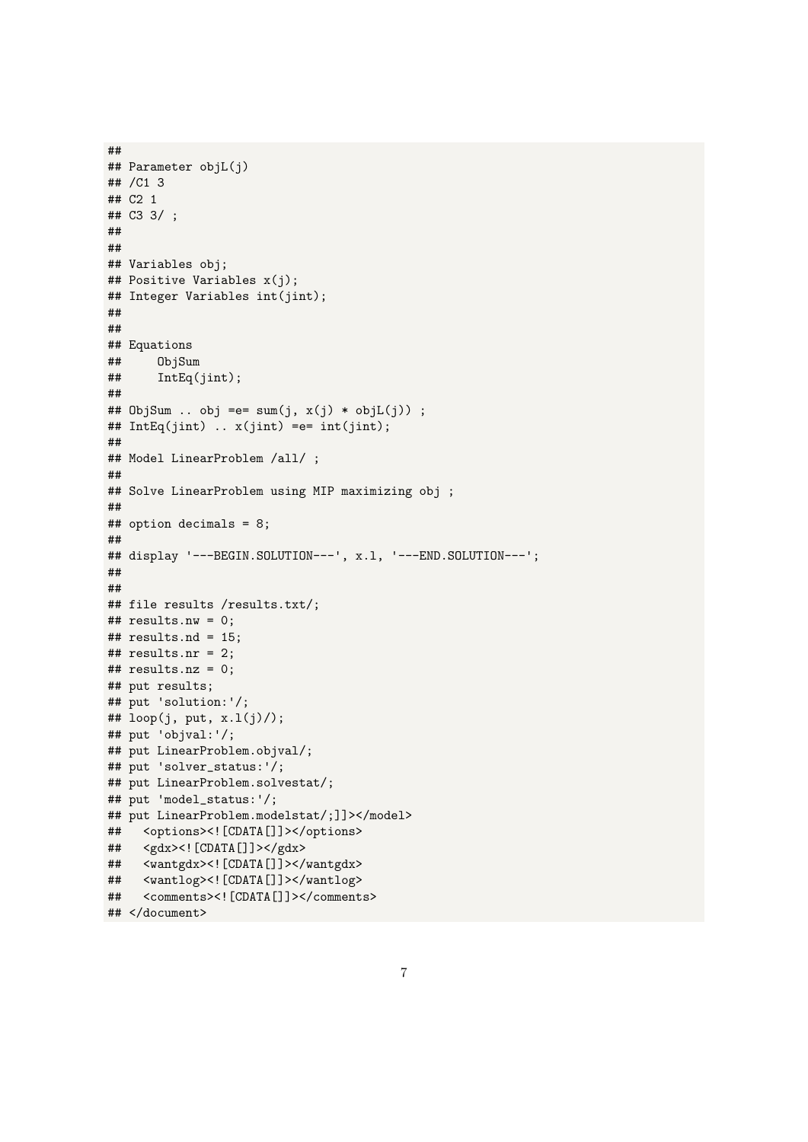```
## Parameter objL(j)
## /C1 3
## C2 1
## C3 3/;
\# \##### Variables obj;
## Positive Variables x(j);
## Integer Variables int(jint);
##\# \### Equations
##ObjSum
##IntEq(jint);#### ObjSum .. obj =e= sum(j, x(j) * objL(j)) ;
## IntEq(jint) .. x(jint) =e= int(jint);
#### Model LinearProblem /all/ ;
#### Solve LinearProblem using MIP maximizing obj ;
#### option decimals = 8;
\# \### display '---BEGIN.SOLUTION---', x.1, '---END.SOLUTION---';
###### file results /results.txt/;
## results.nw = 0;
## results.nd = 15;
## results.nr = 2;
## results.nz = 0;
## put results;
## put 'solution:'/;
## loop(j, put, x.1(j)/);
## put 'objval:'/;
## put LinearProblem.objval/;
## put 'solver_status:'/;
## put LinearProblem.solvestat/;
## put 'model_status:'/;
## put LinearProblem.modelstat/;]]></model>
## <options><! [CDATA[]]></options>
## <gdx><! [CDATA [] ] ></gdx>
## <wantgdx><![CDATA[]]></wantgdx>
## <wantlog><! [CDATA []] ></wantlog>
## <comments><! [CDATA []] ></comments>
## </document>
```
 $##$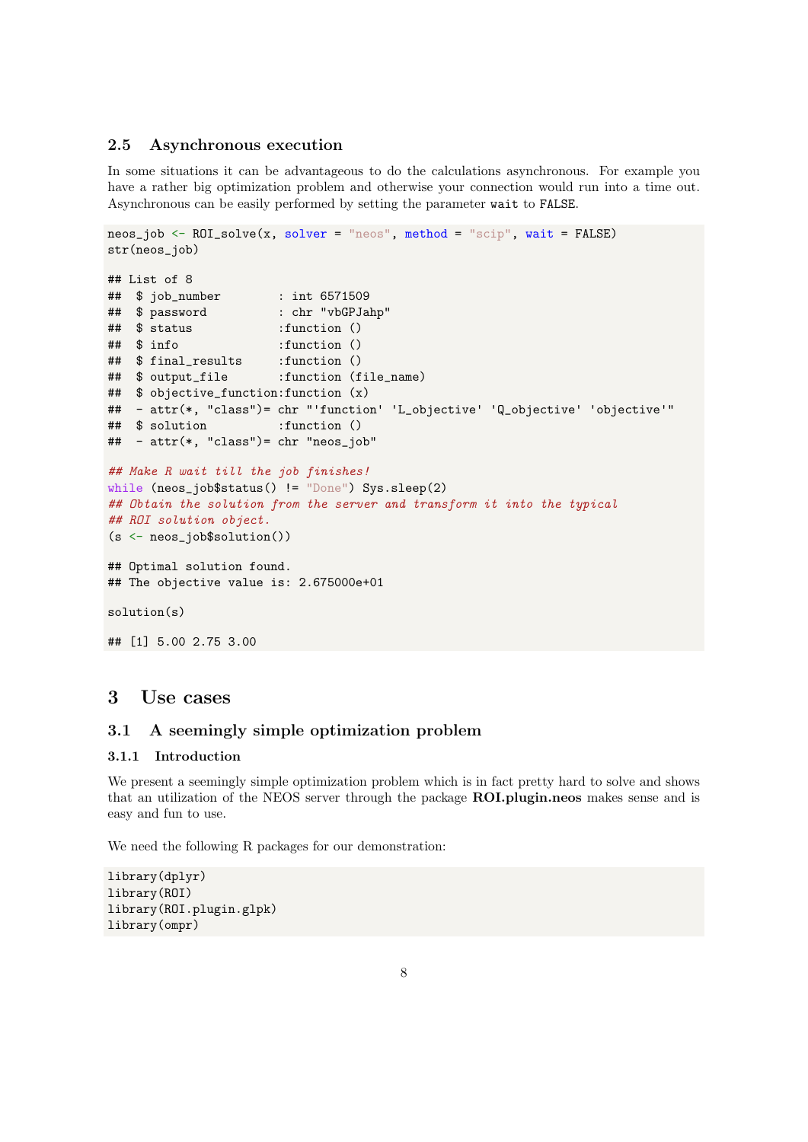### <span id="page-7-0"></span>2.5 Asynchronous execution

In some situations it can be advantageous to do the calculations asynchronous. For example you have a rather big optimization problem and otherwise your connection would run into a time out. Asynchronous can be easily performed by setting the parameter wait to FALSE.

```
neos\_job \leftarrow ROI\_solve(x, solver = "neos", method = "scip", wait = FALSE)}str(neos_job)
## List of 8
## $ job_number : int 6571509
## $ password : chr "vbGPJahp"
## $ status :function ()
## $ info :function ()
## $ final_results :function ()
## $ output_file :function (file_name)
## $ objective_function:function (x)
## - attr(*, "class")= chr "'function' 'L_objective' 'Q_objective' 'objective'"
## $ solution :function ()
## - attr(*, "class")= chr "neos_job"
## Make R wait till the job finishes!
while (neos_job$status() != "Done") Sys.sleep(2)
## Obtain the solution from the server and transform it into the typical
## ROI solution object.
(s <- neos_job$solution())
## Optimal solution found.
## The objective value is: 2.675000e+01
solution(s)
## [1] 5.00 2.75 3.00
```
## <span id="page-7-1"></span>3 Use cases

### <span id="page-7-2"></span>3.1 A seemingly simple optimization problem

#### <span id="page-7-3"></span>3.1.1 Introduction

We present a seemingly simple optimization problem which is in fact pretty hard to solve and shows that an utilization of the NEOS server through the package **ROI.plugin.neos** makes sense and is easy and fun to use.

We need the following R packages for our demonstration:

```
library(dplyr)
library(ROI)
library(ROI.plugin.glpk)
library(ompr)
```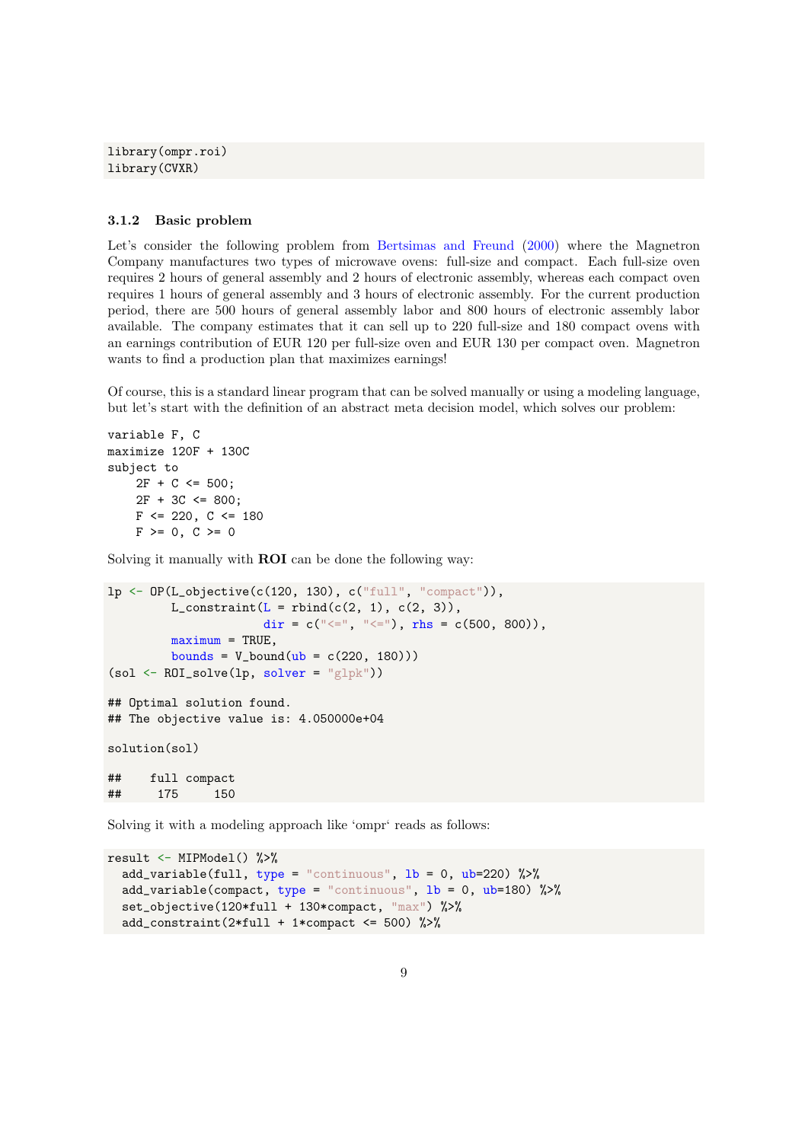library(ompr.roi) library(CVXR)

#### <span id="page-8-0"></span>3.1.2 Basic problem

Let's consider the following problem from [Bertsimas and Freund](#page-11-0) [\(2000\)](#page-11-0) where the Magnetron Company manufactures two types of microwave ovens: full-size and compact. Each full-size oven requires 2 hours of general assembly and 2 hours of electronic assembly, whereas each compact oven requires 1 hours of general assembly and 3 hours of electronic assembly. For the current production period, there are 500 hours of general assembly labor and 800 hours of electronic assembly labor available. The company estimates that it can sell up to 220 full-size and 180 compact ovens with an earnings contribution of EUR 120 per full-size oven and EUR 130 per compact oven. Magnetron wants to find a production plan that maximizes earnings!

Of course, this is a standard linear program that can be solved manually or using a modeling language, but let's start with the definition of an abstract meta decision model, which solves our problem:

```
variable F, C
maximize 120F + 130C
subject to
    2F + C \le 500;
    2F + 3C \le 800;
    F \le 220, C \le 180F > = 0, C > = 0
```
Solving it manually with ROI can be done the following way:

```
lp \leftarrow OP(L\_objective(c(120, 130), c("full", "compact")),
         L_constraint(L =rbind(c(2, 1), c(2, 3)),
                      dir = c("<=", "<="), rhs = c(500, 800)),
         maximum = TRUE,bounds = V_{bound}(ub = c(220, 180)))(sol <- ROI_solve(lp, solver = "glpk"))
## Optimal solution found.
## The objective value is: 4.050000e+04
solution(sol)
## full compact
## 175 150
```
Solving it with a modeling approach like 'ompr' reads as follows:

```
result <- MIPModel() %>%
  add_variable(full, type = "continuous", lb = 0, ub=220) %>%
  add_variable(compact, type = "continuous", 1b = 0, ub=180) %>%
  set_objective(120*full + 130*compact, "max") %>%
  add_constraint(2*full + 1*compact <= 500) %>%
```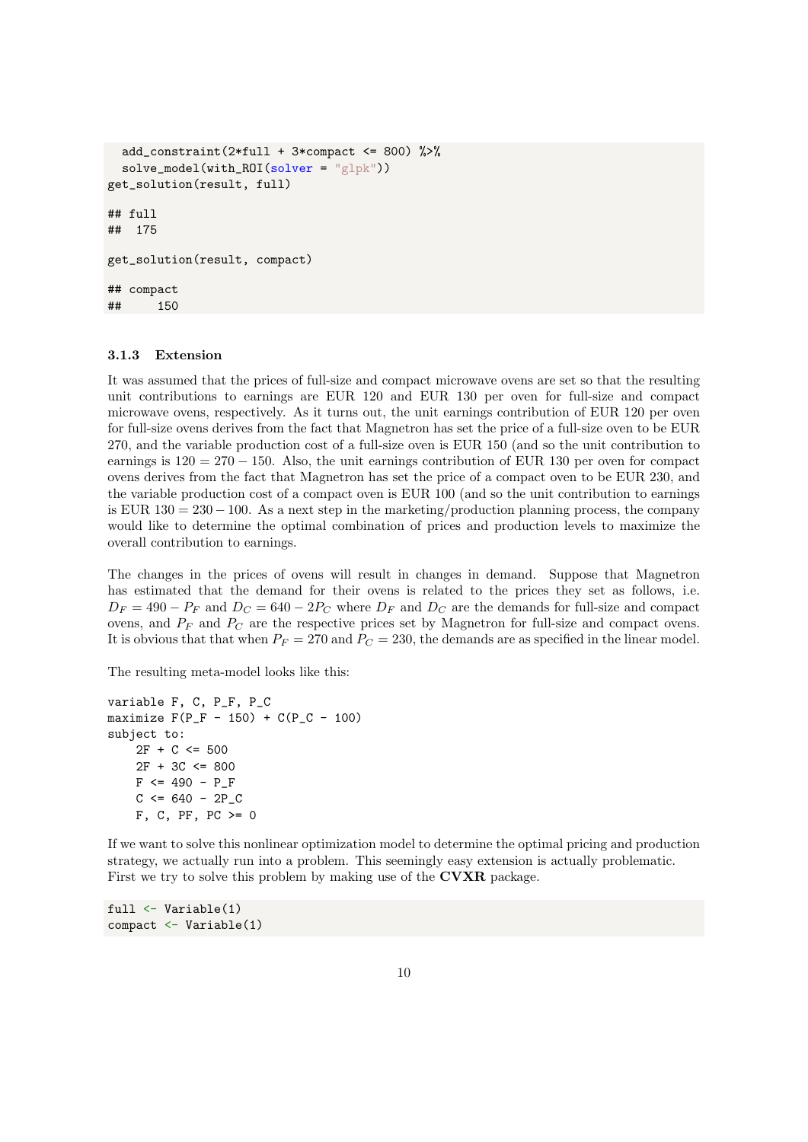```
add_constraint(2*full + 3*compact <= 800) \frac{1}{2}solve_model(with_ROI(solver = "glpk"))
get_solution(result, full)
## full
## 175
get_solution(result, compact)
## compact
## 150
```
#### <span id="page-9-0"></span>3.1.3 Extension

It was assumed that the prices of full-size and compact microwave ovens are set so that the resulting unit contributions to earnings are EUR 120 and EUR 130 per oven for full-size and compact microwave ovens, respectively. As it turns out, the unit earnings contribution of EUR 120 per oven for full-size ovens derives from the fact that Magnetron has set the price of a full-size oven to be EUR 270, and the variable production cost of a full-size oven is EUR 150 (and so the unit contribution to earnings is  $120 = 270 - 150$ . Also, the unit earnings contribution of EUR 130 per oven for compact ovens derives from the fact that Magnetron has set the price of a compact oven to be EUR 230, and the variable production cost of a compact oven is EUR 100 (and so the unit contribution to earnings is EUR  $130 = 230 - 100$ . As a next step in the marketing/production planning process, the company would like to determine the optimal combination of prices and production levels to maximize the overall contribution to earnings.

The changes in the prices of ovens will result in changes in demand. Suppose that Magnetron has estimated that the demand for their ovens is related to the prices they set as follows, i.e.  $D_F = 490 - P_F$  and  $D_C = 640 - 2P_C$  where  $D_F$  and  $D_C$  are the demands for full-size and compact ovens, and  $P_F$  and  $P_C$  are the respective prices set by Magnetron for full-size and compact ovens. It is obvious that that when  $P_F = 270$  and  $P_C = 230$ , the demands are as specified in the linear model.

The resulting meta-model looks like this:

```
variable F, C, P_F, P_C
maximize F(P_F - 150) + C(P_C - 100)subject to:
    2F + C \le 5002F + 3C \le 800F \le 490 - P_FC \le 640 - 2P_CF, C, PF, PC > = 0
```
If we want to solve this nonlinear optimization model to determine the optimal pricing and production strategy, we actually run into a problem. This seemingly easy extension is actually problematic. First we try to solve this problem by making use of the **CVXR** package.

```
full <- Variable(1)
compact <- Variable(1)
```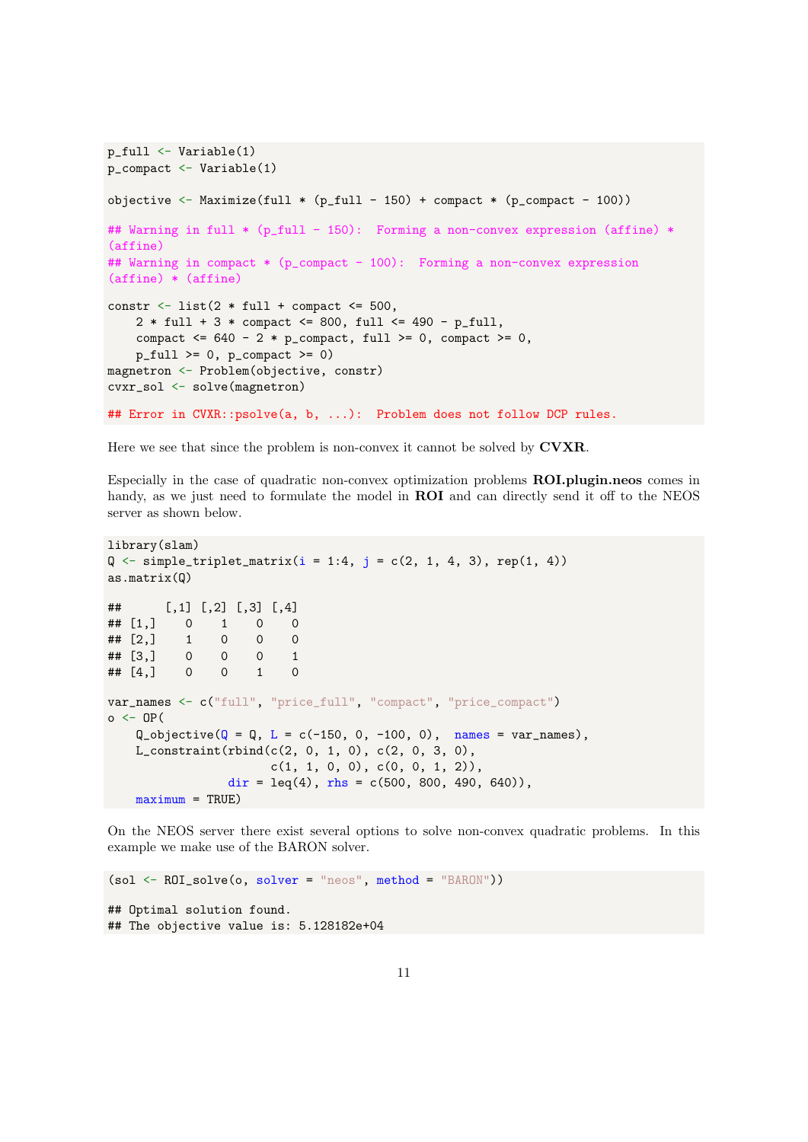```
p_full <- Variable(1)
p_compact <- Variable(1)
objective \leftarrow Maximize(full * (p_full - 150) + compact * (p_compact - 100))
## Warning in full * (p_full - 150): Forming a non-convex expression (affine) *
(affine)
## Warning in compact * (p_compact - 100): Forming a non-convex expression
(affine) * (affine)
constr \le list(2 * full + compact \le 500,
    2 * full + 3 * compact \le 800, full \le 490 - p_full,
    compact \leq 640 - 2 * p_{\text{compact}}, \text{full} \geq 0, compact \geq 0,
    p_full \geq 0, p_compact \geq 0magnetron <- Problem(objective, constr)
cvxr_sol <- solve(magnetron)
## Error in CVXR::psolve(a, b, ...): Problem does not follow DCP rules.
```
Here we see that since the problem is non-convex it cannot be solved by **CVXR**.

Especially in the case of quadratic non-convex optimization problems ROI.plugin.neos comes in handy, as we just need to formulate the model in **ROI** and can directly send it off to the NEOS server as shown below.

```
library(slam)
Q \leftarrow simple_triplet_matrix(i = 1:4, j = c(2, 1, 4, 3), rep(1, 4))
as.matrix(Q)
## [,1] [,2] [,3] [,4]
\# [1,] 0 1 0 0
## [2,] 1 0 0 0<br>## [3,] 0 0 0 1
## [3,] 0 0 0 1
## [4,] 0 0 1 0
var_names <- c("full", "price_full", "compact", "price_compact")
o \leftarrow OP(Q_{\text{objective}}(Q = Q, L = c(-150, 0, -100, 0), \text{ names} = \text{var} names),
    L_{\text{constant}}(rbind(c(2, 0, 1, 0), c(2, 0, 3, 0)),c(1, 1, 0, 0), c(0, 0, 1, 2)),dir = leq(4), rhs = c(500, 800, 490, 640),
    maximum = TRUE)
```
On the NEOS server there exist several options to solve non-convex quadratic problems. In this example we make use of the BARON solver.

```
(sol \leftarrow ROI\_solve(o, solver = "neos", method = "BARON"))## Optimal solution found.
## The objective value is: 5.128182e+04
```